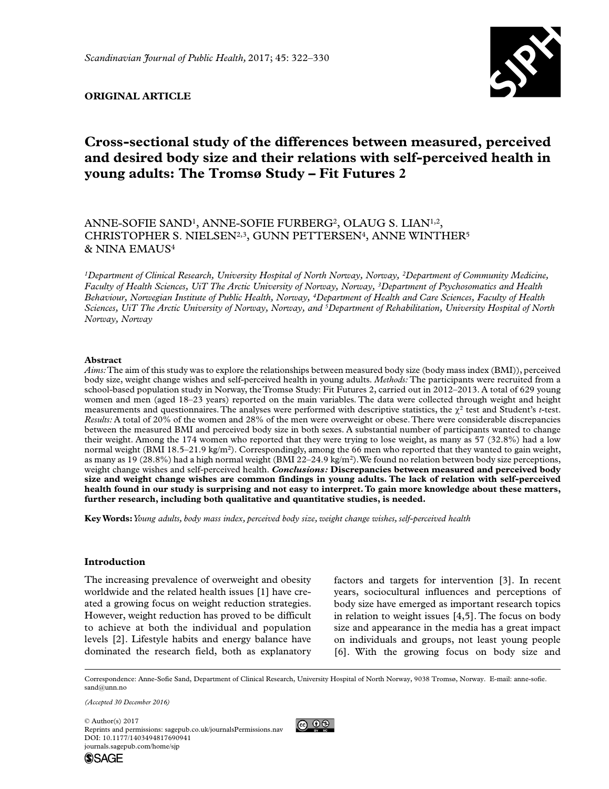

## **Original article**

# **Cross-sectional study of the differences between measured, perceived and desired body size and their relations with self-perceived health in young adults: The Tromsø Study – Fit Futures 2**

# ANNE-SOFIE SAND<sup>1</sup>, ANNE-SOFIE FURBERG<sup>2</sup>, OLAUG S. LIAN<sup>1,2</sup>, CHRISTOPHER S. NIELSEN<sup>2,3</sup>, GUNN PETTERSEN<sup>4</sup>, ANNE WINTHER<sup>5</sup> & NINA EMAUS4

*1Department of Clinical Research, University Hospital of North Norway, Norway, 2Department of Community Medicine, Faculty of Health Sciences, UiT The Arctic University of Norway, Norway, 3Department of Psychosomatics and Health Behaviour, Norwegian Institute of Public Health, Norway, 4Department of Health and Care Sciences, Faculty of Health Sciences, UiT The Arctic University of Norway, Norway, and 5Department of Rehabilitation, University Hospital of North Norway, Norway*

## **Abstract**

*Aims:* The aim of this study was to explore the relationships between measured body size (body mass index (BMI)), perceived body size, weight change wishes and self-perceived health in young adults. *Methods:* The participants were recruited from a school-based population study in Norway, the Tromsø Study: Fit Futures 2, carried out in 2012–2013. A total of 629 young women and men (aged 18–23 years) reported on the main variables. The data were collected through weight and height measurements and questionnaires. The analyses were performed with descriptive statistics, the  $\gamma^2$  test and Student's *t*-test. *Results:* A total of 20% of the women and 28% of the men were overweight or obese. There were considerable discrepancies between the measured BMI and perceived body size in both sexes. A substantial number of participants wanted to change their weight. Among the 174 women who reported that they were trying to lose weight, as many as 57 (32.8%) had a low normal weight (BMI 18.5–21.9 kg/m<sup>2</sup>). Correspondingly, among the 66 men who reported that they wanted to gain weight, as many as 19 (28.8%) had a high normal weight (BMI 22-24.9 kg/m<sup>2</sup>). We found no relation between body size perceptions, weight change wishes and self-perceived health. *Conclusions:* **Discrepancies between measured and perceived body size and weight change wishes are common findings in young adults. The lack of relation with self-perceived health found in our study is surprising and not easy to interpret. To gain more knowledge about these matters, further research, including both qualitative and quantitative studies, is needed.**

**Key Words:** *Young adults, body mass index, perceived body size, weight change wishes, self-perceived health*

## **Introduction**

The increasing prevalence of overweight and obesity worldwide and the related health issues [1] have created a growing focus on weight reduction strategies. However, weight reduction has proved to be difficult to achieve at both the individual and population levels [2]. Lifestyle habits and energy balance have dominated the research field, both as explanatory

factors and targets for intervention [3]. In recent years, sociocultural influences and perceptions of body size have emerged as important research topics in relation to weight issues [4,5]. The focus on body size and appearance in the media has a great impact on individuals and groups, not least young people [6]. With the growing focus on body size and

Correspondence: Anne-Sofie Sand, Department of Clinical Research, University Hospital of North Norway, 9038 Tromsø, Norway. E-mail: [anne-sofie.](mailto:anne-sofie.sand@unn.no) [sand@unn.no](mailto:anne-sofie.sand@unn.no)

*(Accepted 30 December 2016)*

https://doi.org/10.1177/1403494817690941 DOI: 10.1177/1403494817690941 © Author(s) 2017 Reprints and permissions: [sagepub.co.uk/journalsPermissions.nav](https://uk.sagepub.com/en-gb/journals-permissions) [journals.sagepub.com/home/sjp](https://journals.sagepub.com/home/sjp)

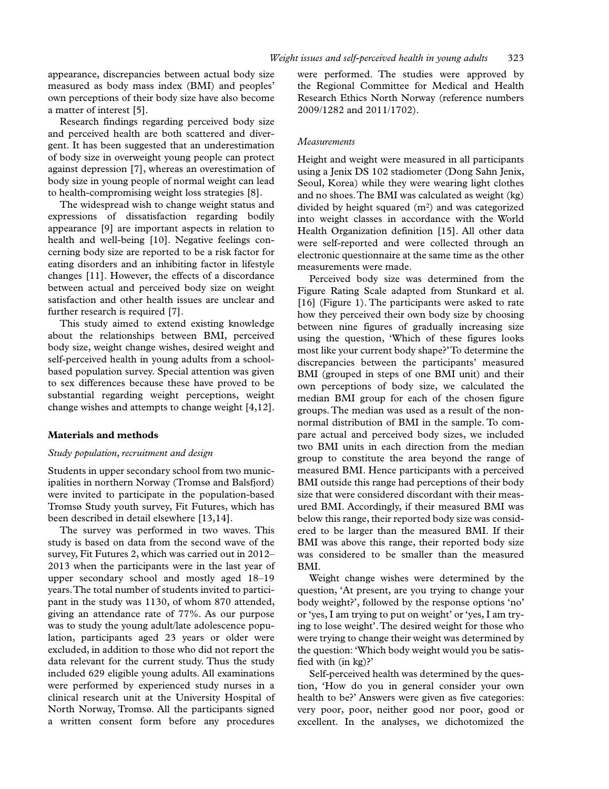appearance, discrepancies between actual body size measured as body mass index (BMI) and peoples' own perceptions of their body size have also become a matter of interest [5].

Research findings regarding perceived body size and perceived health are both scattered and divergent. It has been suggested that an underestimation of body size in overweight young people can protect against depression [7], whereas an overestimation of body size in young people of normal weight can lead to health-compromising weight loss strategies [8].

The widespread wish to change weight status and expressions of dissatisfaction regarding bodily appearance [9] are important aspects in relation to health and well-being [10]. Negative feelings concerning body size are reported to be a risk factor for eating disorders and an inhibiting factor in lifestyle changes [11]. However, the effects of a discordance between actual and perceived body size on weight satisfaction and other health issues are unclear and further research is required [7].

This study aimed to extend existing knowledge about the relationships between BMI, perceived body size, weight change wishes, desired weight and self-perceived health in young adults from a schoolbased population survey. Special attention was given to sex differences because these have proved to be substantial regarding weight perceptions, weight change wishes and attempts to change weight [4,12].

#### **Materials and methods**

#### *Study population, recruitment and design*

Students in upper secondary school from two municipalities in northern Norway (Tromsø and Balsfjord) were invited to participate in the population-based Tromsø Study youth survey, Fit Futures, which has been described in detail elsewhere [13,14].

The survey was performed in two waves. This study is based on data from the second wave of the survey, Fit Futures 2, which was carried out in 2012– 2013 when the participants were in the last year of upper secondary school and mostly aged 18–19 years. The total number of students invited to participant in the study was 1130, of whom 870 attended, giving an attendance rate of 77%. As our purpose was to study the young adult/late adolescence population, participants aged 23 years or older were excluded, in addition to those who did not report the data relevant for the current study. Thus the study included 629 eligible young adults. All examinations were performed by experienced study nurses in a clinical research unit at the University Hospital of North Norway, Tromsø. All the participants signed a written consent form before any procedures

were performed. The studies were approved by the Regional Committee for Medical and Health Research Ethics North Norway (reference numbers 2009/1282 and 2011/1702).

## *Measurements*

Height and weight were measured in all participants using a Jenix DS 102 stadiometer (Dong Sahn Jenix, Seoul, Korea) while they were wearing light clothes and no shoes. The BMI was calculated as weight (kg) divided by height squared  $(m<sup>2</sup>)$  and was categorized into weight classes in accordance with the World Health Organization definition [15]. All other data were self-reported and were collected through an electronic questionnaire at the same time as the other measurements were made.

Perceived body size was determined from the Figure Rating Scale adapted from Stunkard et al. [16] (Figure 1). The participants were asked to rate how they perceived their own body size by choosing between nine figures of gradually increasing size using the question, 'Which of these figures looks most like your current body shape?' To determine the discrepancies between the participants' measured BMI (grouped in steps of one BMI unit) and their own perceptions of body size, we calculated the median BMI group for each of the chosen figure groups. The median was used as a result of the nonnormal distribution of BMI in the sample. To compare actual and perceived body sizes, we included two BMI units in each direction from the median group to constitute the area beyond the range of measured BMI. Hence participants with a perceived BMI outside this range had perceptions of their body size that were considered discordant with their measured BMI. Accordingly, if their measured BMI was below this range, their reported body size was considered to be larger than the measured BMI. If their BMI was above this range, their reported body size was considered to be smaller than the measured BMI.

Weight change wishes were determined by the question, 'At present, are you trying to change your body weight?', followed by the response options 'no' or 'yes, I am trying to put on weight' or 'yes, I am trying to lose weight'. The desired weight for those who were trying to change their weight was determined by the question: 'Which body weight would you be satisfied with (in kg)?'

Self-perceived health was determined by the question, 'How do you in general consider your own health to be?' Answers were given as five categories: very poor, poor, neither good nor poor, good or excellent. In the analyses, we dichotomized the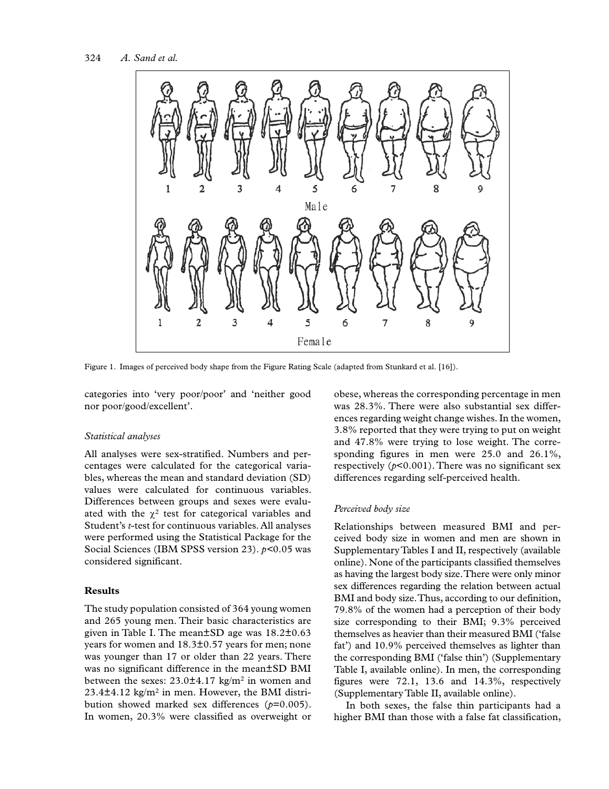

Figure 1. Images of perceived body shape from the Figure Rating Scale (adapted from Stunkard et al. [16]).

categories into 'very poor/poor' and 'neither good nor poor/good/excellent'.

#### *Statistical analyses*

All analyses were sex-stratified. Numbers and percentages were calculated for the categorical variables, whereas the mean and standard deviation (SD) values were calculated for continuous variables. Differences between groups and sexes were evaluated with the  $\chi^2$  test for categorical variables and Student's *t*-test for continuous variables. All analyses were performed using the Statistical Package for the Social Sciences (IBM SPSS version 23). *p<*0.05 was considered significant.

## **Results**

The study population consisted of 364 young women and 265 young men. Their basic characteristics are given in Table I. The mean±SD age was 18.2±0.63 years for women and 18.3±0.57 years for men; none was younger than 17 or older than 22 years. There was no significant difference in the mean±SD BMI between the sexes:  $23.0\pm4.17$  kg/m<sup>2</sup> in women and  $23.4\pm4.12$  kg/m<sup>2</sup> in men. However, the BMI distribution showed marked sex differences (*p*=0.005). In women, 20.3% were classified as overweight or

obese, whereas the corresponding percentage in men was 28.3%. There were also substantial sex differences regarding weight change wishes. In the women, 3.8% reported that they were trying to put on weight and 47.8% were trying to lose weight. The corresponding figures in men were 25.0 and 26.1%, respectively  $(p<0.001)$ . There was no significant sex differences regarding self-perceived health.

#### *Perceived body size*

Relationships between measured BMI and perceived body size in women and men are shown in Supplementary Tables I and II, respectively (available online). None of the participants classified themselves as having the largest body size. There were only minor sex differences regarding the relation between actual BMI and body size. Thus, according to our definition, 79.8% of the women had a perception of their body size corresponding to their BMI; 9.3% perceived themselves as heavier than their measured BMI ('false fat') and 10.9% perceived themselves as lighter than the corresponding BMI ('false thin') (Supplementary Table I, available online). In men, the corresponding figures were 72.1, 13.6 and 14.3%, respectively (Supplementary Table II, available online).

In both sexes, the false thin participants had a higher BMI than those with a false fat classification,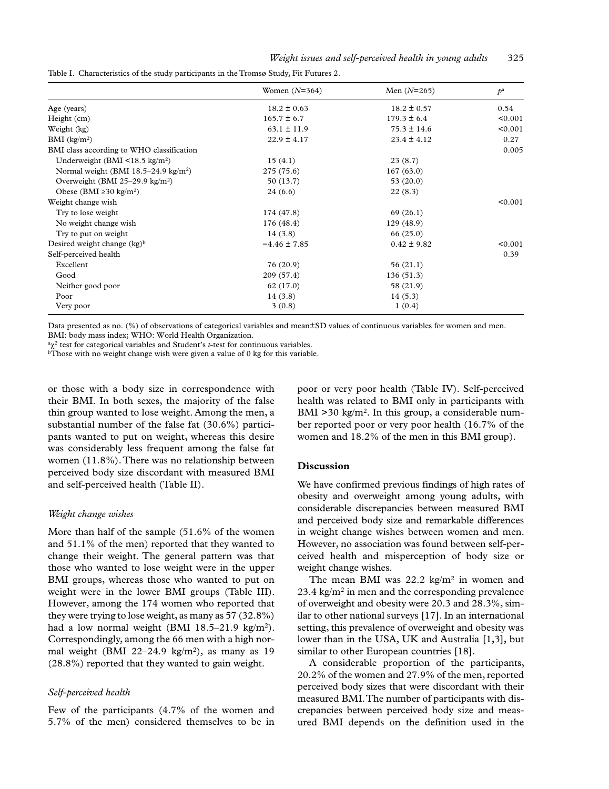|                                                  | Women $(N=364)$  | Men $(N=265)$   | $\mathcal{D}^{\rm a}$ |
|--------------------------------------------------|------------------|-----------------|-----------------------|
| Age (years)                                      | $18.2 \pm 0.63$  | $18.2 \pm 0.57$ | 0.54                  |
| Height (cm)                                      | $165.7 \pm 6.7$  | $179.3 \pm 6.4$ | < 0.001               |
| Weight (kg)                                      | $63.1 \pm 11.9$  | $75.3 \pm 14.6$ | < 0.001               |
| BMI $(kg/m2)$                                    | $22.9 \pm 4.17$  | $23.4 \pm 4.12$ | 0.27                  |
| BMI class according to WHO classification        |                  |                 | 0.005                 |
| Underweight (BMI $\leq$ 18.5 kg/m <sup>2</sup> ) | 15(4.1)          | 23(8.7)         |                       |
| Normal weight (BMI $18.5-24.9 \text{ kg/m}^2$ )  | 275 (75.6)       | 167(63.0)       |                       |
| Overweight (BMI 25-29.9 kg/m <sup>2</sup> )      | 50(13.7)         | 53(20.0)        |                       |
| Obese (BMI $\geq$ 30 kg/m <sup>2</sup> )         | 24(6.6)          | 22(8.3)         |                       |
| Weight change wish                               |                  |                 | < 0.001               |
| Try to lose weight                               | 174 (47.8)       | 69(26.1)        |                       |
| No weight change wish                            | 176 (48.4)       | 129 (48.9)      |                       |
| Try to put on weight                             | 14(3.8)          | 66(25.0)        |                       |
| Desired weight change $(kg)^b$                   | $-4.46 \pm 7.85$ | $0.42 \pm 9.82$ | < 0.001               |
| Self-perceived health                            |                  |                 | 0.39                  |
| Excellent                                        | 76 (20.9)        | 56(21.1)        |                       |
| Good                                             | 209 (57.4)       | 136(51.3)       |                       |
| Neither good poor                                | 62 (17.0)        | 58 (21.9)       |                       |
| Poor                                             | 14(3.8)          | 14(5.3)         |                       |
| Very poor                                        | 3(0.8)           | 1(0.4)          |                       |

Table I. Characteristics of the study participants in the Tromsø Study, Fit Futures 2.

Data presented as no. (%) of observations of categorical variables and mean±SD values of continuous variables for women and men. BMI: body mass index; WHO: World Health Organization.

<sup>a</sup>χ2 test for categorical variables and Student's *t*-test for continuous variables.

<sup>b</sup>Those with no weight change wish were given a value of 0 kg for this variable.

or those with a body size in correspondence with their BMI. In both sexes, the majority of the false thin group wanted to lose weight. Among the men, a substantial number of the false fat (30.6%) participants wanted to put on weight, whereas this desire was considerably less frequent among the false fat women (11.8%). There was no relationship between perceived body size discordant with measured BMI and self-perceived health (Table II).

#### *Weight change wishes*

More than half of the sample (51.6% of the women and 51.1% of the men) reported that they wanted to change their weight. The general pattern was that those who wanted to lose weight were in the upper BMI groups, whereas those who wanted to put on weight were in the lower BMI groups (Table III). However, among the 174 women who reported that they were trying to lose weight, as many as 57 (32.8%) had a low normal weight (BMI 18.5–21.9 kg/m<sup>2</sup>). Correspondingly, among the 66 men with a high normal weight (BMI 22–24.9 kg/m<sup>2</sup>), as many as 19 (28.8%) reported that they wanted to gain weight.

## *Self-perceived health*

Few of the participants (4.7% of the women and 5.7% of the men) considered themselves to be in poor or very poor health (Table IV). Self-perceived health was related to BMI only in participants with BMI  $>$ 30 kg/m<sup>2</sup>. In this group, a considerable number reported poor or very poor health (16.7% of the women and 18.2% of the men in this BMI group).

#### **Discussion**

We have confirmed previous findings of high rates of obesity and overweight among young adults, with considerable discrepancies between measured BMI and perceived body size and remarkable differences in weight change wishes between women and men. However, no association was found between self-perceived health and misperception of body size or weight change wishes.

The mean BMI was 22.2 kg/m<sup>2</sup> in women and 23.4 kg/m2 in men and the corresponding prevalence of overweight and obesity were 20.3 and 28.3%, similar to other national surveys [17]. In an international setting, this prevalence of overweight and obesity was lower than in the USA, UK and Australia [1,3], but similar to other European countries [18].

A considerable proportion of the participants, 20.2% of the women and 27.9% of the men, reported perceived body sizes that were discordant with their measured BMI. The number of participants with discrepancies between perceived body size and measured BMI depends on the definition used in the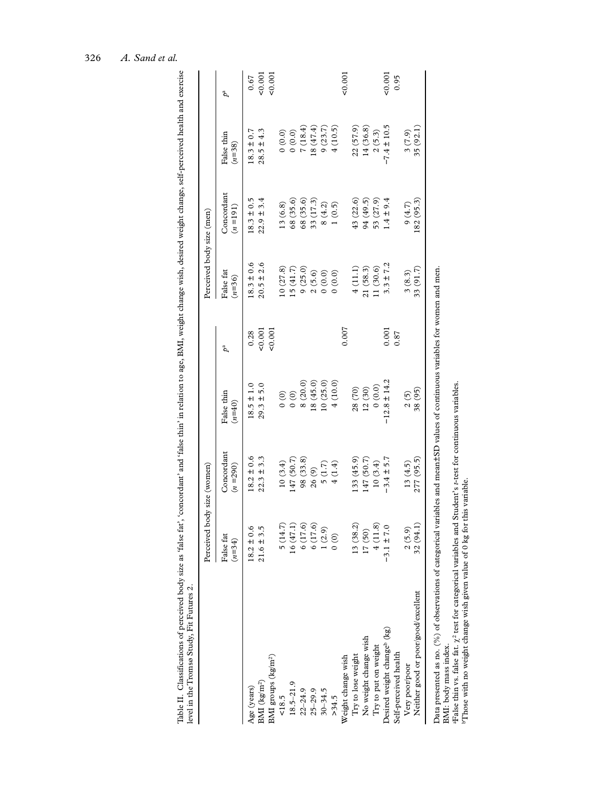|                                                                  | Perceived body size (women)                                    |                         |                                      |               | Perceived body size (men) |                           |                        |               |
|------------------------------------------------------------------|----------------------------------------------------------------|-------------------------|--------------------------------------|---------------|---------------------------|---------------------------|------------------------|---------------|
|                                                                  | False fat<br>$(n=34)$                                          | Concordant<br>$(n=290)$ | False thin<br>$(n=40)$               |               | False fat<br>$(n=36)$     | Concordant<br>$(n = 191)$ | False thin<br>$(n=38)$ | ъ             |
| Age (years)                                                      | $18.2 \pm 0.6$                                                 | $18.2 \pm 0.6$          | $18.5 \pm 1.0$                       | 0.28          | $18.3 \pm 0.6$            | $18.3 \pm 0.5$            | $18.3 \pm 0.7$         | 0.67          |
| $\mathrm{BMI}\;(\mathrm{kg/m^2})$                                | $21.6 \pm 3.5$                                                 | $22.3 \pm 3.3$          | $29.3 \pm 5.0$                       | 0.001         | $20.5 \pm 2.6$            | $22.9 \pm 3.4$            | $28.5 \pm 4.3$         | 0.001         |
| BMI groups (kg/m <sup>2</sup> )                                  |                                                                |                         |                                      | 0.001         |                           |                           |                        | 0.001         |
| 18.5                                                             | 5(14.7)                                                        | 10(3.4)                 | $\begin{matrix} 0 \\ 0 \end{matrix}$ |               | (27.8)                    | 13(6.8)                   | (0.0)                  |               |
| $18.5 - 21.9$                                                    | 16(47.1)                                                       | 147 (50.7)              | $\begin{matrix} 0 \\ 0 \end{matrix}$ |               | 15 (41.7)                 | 68 (35.6)                 | (0.0)0                 |               |
| $22 - 24.9$                                                      |                                                                | 98(33.8)                | 8(20.0)                              |               | 9(25.0)                   | 68 (35.6)                 | 7(18.4)                |               |
| $25 - 29.9$                                                      |                                                                | 26 (9)                  | (45.0)                               |               | 2(5.6)                    | 33 (17.3)                 | 18(47.4)               |               |
| $30 - 34.5$                                                      | $\begin{array}{c} 6 (17.6) \\ 6 (17.6) \\ 1 (2.9) \end{array}$ | 5(1.7)                  | 10(25.0)                             |               | (0.0)                     | 8(4.2)                    | 9(23.7)                |               |
| >34.5                                                            | $\begin{pmatrix} 0 \\ 0 \end{pmatrix}$                         | 4(1.4)                  | 4(10.0)                              |               | (0.0)                     | 1(0.5)                    | 4(10.5)                |               |
| Weight change wish                                               |                                                                |                         |                                      | 0.007         |                           |                           |                        | 500,00        |
| Try to lose weight                                               | 13 (38.2)                                                      | (33(45.9)               | 28 (70)                              |               | 4(1.1)                    | 43 (22.6)                 | 22 (57.9)              |               |
| No weight change wish                                            | 17 (50)                                                        | 147 (50.7)              | 12(30)                               |               | 21(58.3)                  | 94 (49.5)                 | 14(36.8)               |               |
| Try to put on weight                                             | 4(11.8)                                                        | 10(3.4)                 | (0.0)                                |               | (30.6)                    | 53 (27.9)                 | 2(5.3)                 |               |
| Desired weight change <sup>b</sup> (kg)<br>Self-perceived health | $-3.1 \pm 7.0$                                                 | $-3.4 \pm 5.7$          | $-12.8 \pm 14.2$                     | 0.001<br>0.87 | $3.3 \pm 7.2$             | $-4 \pm 9.4$              | $-7.4 \pm 10.5$        | 0.001<br>0.95 |
| Very poor/poor                                                   | 2(5.9)                                                         | 13(4.5)                 | 2(5)                                 |               | 3(8.3)                    | 9(4.7)                    | 3(7.9)                 |               |
| Neither good or poor/good/excellent                              | 32(94.1)                                                       | 277 (95.5)              | 38 (95)                              |               | 33(91.7)                  | 182 (95.3)                | 35 (92.1)              |               |
|                                                                  |                                                                |                         |                                      |               |                           |                           |                        |               |
|                                                                  |                                                                |                         |                                      |               |                           |                           |                        |               |

Data presented as no. (%) of observations of categorical variables and mean±SD values of continuous variables for women and men.<br>BMI: body mass index.<br>"False thin vs. false fat.  $\chi^2$  test for categorical variables and S Data presented as no. (%) of observations of categorical variables and mean±SD values of continuous variables for women and men. BMI: body mass index.

aFalse thin vs. false fat. χ2 test for categorical variables and Student's *t*-test for continuous variables.

bThose with no weight change wish given value of 0 kg for this variable.

Table II. Classifications of perceived body size as 'false fat', 'concordant' and 'false thin' in relation to age, BMI, weight change wish, desired weight change, self-perceived health and exercise

Table II. Classifications of perceived body size as 'false fat', 'concordant' and 'false thin' in relation to age, BMI, weight change wish, desired weight change, self-perceived health and exercise<br>level in the Tromsø Stud

level in the Tromsø Study, Fit Futures 2.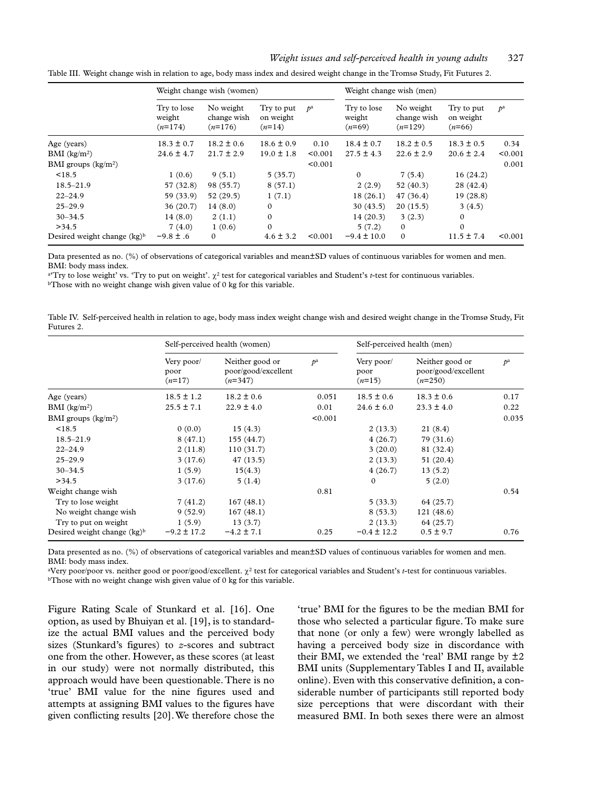#### *Weight issues and self-perceived health in young adults* 327

|                                | Weight change wish (women)         |                                       |                                     |                       | Weight change wish (men)          |                                       |                                     |                       |
|--------------------------------|------------------------------------|---------------------------------------|-------------------------------------|-----------------------|-----------------------------------|---------------------------------------|-------------------------------------|-----------------------|
|                                | Try to lose<br>weight<br>$(n=174)$ | No weight<br>change wish<br>$(n=176)$ | Try to put<br>on weight<br>$(n=14)$ | $\mathcal{D}^{\rm a}$ | Try to lose<br>weight<br>$(n=69)$ | No weight<br>change wish<br>$(n=129)$ | Try to put<br>on weight<br>$(n=66)$ | $\mathcal{D}^{\rm a}$ |
| Age (years)                    | $18.3 \pm 0.7$                     | $18.2 \pm 0.6$                        | $18.6 \pm 0.9$                      | 0.10                  | $18.4 \pm 0.7$                    | $18.2 \pm 0.5$                        | $18.3 \pm 0.5$                      | 0.34                  |
| BMI $(kg/m2)$                  | $24.6 \pm 4.7$                     | $21.7 \pm 2.9$                        | $19.0 \pm 1.8$                      | < 0.001               | $27.5 \pm 4.3$                    | $22.6 \pm 2.9$                        | $20.6 \pm 2.4$                      | < 0.001               |
| BMI groups $(kg/m2)$           |                                    |                                       |                                     | < 0.001               |                                   |                                       |                                     | 0.001                 |
| < 18.5                         | 1(0.6)                             | 9(5.1)                                | 5(35.7)                             |                       | $\mathbf{0}$                      | 7(5.4)                                | 16(24.2)                            |                       |
| $18.5 - 21.9$                  | 57 (32.8)                          | 98 (55.7)                             | 8(57.1)                             |                       | 2(2.9)                            | 52 (40.3)                             | 28 (42.4)                           |                       |
| $22 - 24.9$                    | 59 (33.9)                          | 52(29.5)                              | 1(7.1)                              |                       | 18(26.1)                          | 47(36.4)                              | 19(28.8)                            |                       |
| $25 - 29.9$                    | 36(20.7)                           | 14(8.0)                               | $\Omega$                            |                       | 30(43.5)                          | 20(15.5)                              | 3(4.5)                              |                       |
| $30 - 34.5$                    | 14(8.0)                            | 2(1.1)                                | $\Omega$                            |                       | 14(20.3)                          | 3(2.3)                                | $\Omega$                            |                       |
| >34.5                          | 7(4.0)                             | 1(0.6)                                | $\Omega$                            |                       | 5(7.2)                            | $\mathbf{0}$                          | $\Omega$                            |                       |
| Desired weight change $(kg)^b$ | $-9.8 \pm .6$                      | $\mathbf{0}$                          | $4.6 \pm 3.2$                       | < 0.001               | $-9.4 \pm 10.0$                   | $\mathbf{0}$                          | $11.5 \pm 7.4$                      | < 0.001               |

Table III. Weight change wish in relation to age, body mass index and desired weight change in the Tromsø Study, Fit Futures 2.

Data presented as no. (%) of observations of categorical variables and mean±SD values of continuous variables for women and men. BMI: body mass index.

a'Try to lose weight' vs. 'Try to put on weight'.  $\chi^2$  test for categorical variables and Student's t-test for continuous variables. bThose with no weight change wish given value of 0 kg for this variable.

Table IV. Self-perceived health in relation to age, body mass index weight change wish and desired weight change in the Tromsø Study, Fit Futures 2.

|                                | Self-perceived health (women)  |                                                     |                       | Self-perceived health (men)    |                                                     |                       |  |
|--------------------------------|--------------------------------|-----------------------------------------------------|-----------------------|--------------------------------|-----------------------------------------------------|-----------------------|--|
|                                | Very poor/<br>poor<br>$(n=17)$ | Neither good or<br>poor/good/excellent<br>$(n=347)$ | $\mathcal{D}^{\rm a}$ | Very poor/<br>poor<br>$(n=15)$ | Neither good or<br>poor/good/excellent<br>$(n=250)$ | $\mathcal{P}^{\rm a}$ |  |
| Age (years)                    | $18.5 \pm 1.2$                 | $18.2 \pm 0.6$                                      | 0.051                 | $18.5 \pm 0.6$                 | $18.3 \pm 0.6$                                      | 0.17                  |  |
| BMI (kg/m <sup>2</sup> )       | $25.5 \pm 7.1$                 | $22.9 \pm 4.0$                                      | 0.01                  | $24.6 \pm 6.0$                 | $23.3 \pm 4.0$                                      | 0.22                  |  |
| BMI groups $(kg/m2)$           |                                |                                                     | < 0.001               |                                |                                                     | 0.035                 |  |
| < 18.5                         | 0(0.0)                         | 15(4.3)                                             |                       | 2(13.3)                        | 21(8.4)                                             |                       |  |
| $18.5 - 21.9$                  | 8(47.1)                        | 155 (44.7)                                          |                       | 4(26.7)                        | 79(31.6)                                            |                       |  |
| $22 - 24.9$                    | 2(11.8)                        | 110(31.7)                                           |                       | 3(20.0)                        | 81 (32.4)                                           |                       |  |
| $25 - 29.9$                    | 3(17.6)                        | 47 (13.5)                                           |                       | 2(13.3)                        | 51 (20.4)                                           |                       |  |
| $30 - 34.5$                    | 1(5.9)                         | 15(4.3)                                             |                       | 4(26.7)                        | 13(5.2)                                             |                       |  |
| >34.5                          | 3(17.6)                        | 5(1.4)                                              |                       | $\Omega$                       | 5(2.0)                                              |                       |  |
| Weight change wish             |                                |                                                     | 0.81                  |                                |                                                     | 0.54                  |  |
| Try to lose weight             | 7(41.2)                        | 167(48.1)                                           |                       | 5(33.3)                        | 64(25.7)                                            |                       |  |
| No weight change wish          | 9(52.9)                        | 167(48.1)                                           |                       | 8(53.3)                        | 121(48.6)                                           |                       |  |
| Try to put on weight           | 1(5.9)                         | 13(3.7)                                             |                       | 2(13.3)                        | 64 (25.7)                                           |                       |  |
| Desired weight change $(kg)^b$ | $-9.2 \pm 17.2$                | $-4.2 \pm 7.1$                                      | 0.25                  | $-0.4 \pm 12.2$                | $0.5 \pm 9.7$                                       | 0.76                  |  |

Data presented as no. (%) of observations of categorical variables and mean±SD values of continuous variables for women and men. BMI: body mass index.

aVery poor/poor vs. neither good or poor/good/excellent. χ2 test for categorical variables and Student's *t*-test for continuous variables. bThose with no weight change wish given value of 0 kg for this variable.

Figure Rating Scale of Stunkard et al. [16]. One option, as used by Bhuiyan et al. [19], is to standardize the actual BMI values and the perceived body sizes (Stunkard's figures) to *z*-scores and subtract one from the other. However, as these scores (at least in our study) were not normally distributed, this approach would have been questionable. There is no 'true' BMI value for the nine figures used and attempts at assigning BMI values to the figures have given conflicting results [20]. We therefore chose the

'true' BMI for the figures to be the median BMI for those who selected a particular figure. To make sure that none (or only a few) were wrongly labelled as having a perceived body size in discordance with their BMI, we extended the 'real' BMI range by  $\pm 2$ BMI units (Supplementary Tables I and II, available online). Even with this conservative definition, a considerable number of participants still reported body size perceptions that were discordant with their measured BMI. In both sexes there were an almost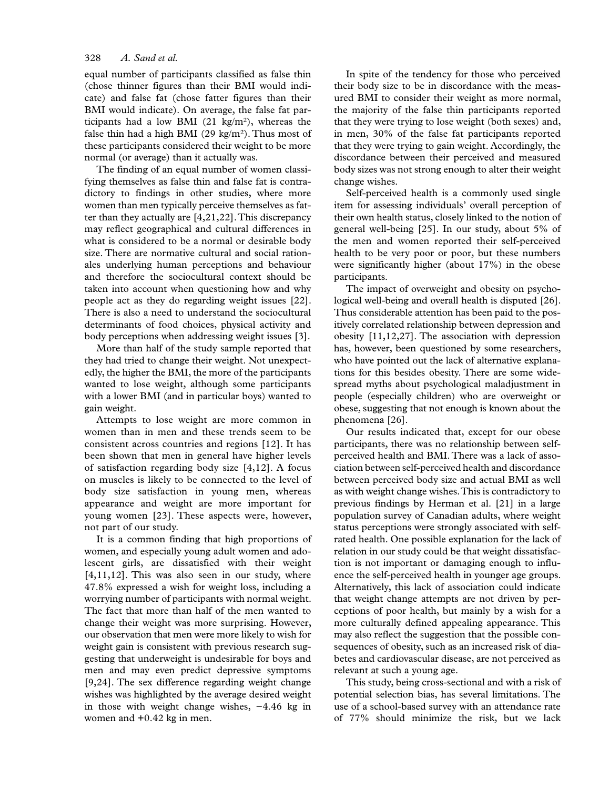#### 328 *A. Sand et al.*

equal number of participants classified as false thin (chose thinner figures than their BMI would indicate) and false fat (chose fatter figures than their BMI would indicate). On average, the false fat participants had a low BMI (21 kg/m2), whereas the false thin had a high BMI (29 kg/m<sup>2</sup>). Thus most of these participants considered their weight to be more normal (or average) than it actually was.

The finding of an equal number of women classifying themselves as false thin and false fat is contradictory to findings in other studies, where more women than men typically perceive themselves as fatter than they actually are [4,21,22]. This discrepancy may reflect geographical and cultural differences in what is considered to be a normal or desirable body size. There are normative cultural and social rationales underlying human perceptions and behaviour and therefore the sociocultural context should be taken into account when questioning how and why people act as they do regarding weight issues [22]. There is also a need to understand the sociocultural determinants of food choices, physical activity and body perceptions when addressing weight issues [3].

More than half of the study sample reported that they had tried to change their weight. Not unexpectedly, the higher the BMI, the more of the participants wanted to lose weight, although some participants with a lower BMI (and in particular boys) wanted to gain weight.

Attempts to lose weight are more common in women than in men and these trends seem to be consistent across countries and regions [12]. It has been shown that men in general have higher levels of satisfaction regarding body size [4,12]. A focus on muscles is likely to be connected to the level of body size satisfaction in young men, whereas appearance and weight are more important for young women [23]. These aspects were, however, not part of our study.

It is a common finding that high proportions of women, and especially young adult women and adolescent girls, are dissatisfied with their weight [4,11,12]. This was also seen in our study, where 47.8% expressed a wish for weight loss, including a worrying number of participants with normal weight. The fact that more than half of the men wanted to change their weight was more surprising. However, our observation that men were more likely to wish for weight gain is consistent with previous research suggesting that underweight is undesirable for boys and men and may even predict depressive symptoms [9,24]. The sex difference regarding weight change wishes was highlighted by the average desired weight in those with weight change wishes, −4.46 kg in women and +0.42 kg in men.

In spite of the tendency for those who perceived their body size to be in discordance with the measured BMI to consider their weight as more normal, the majority of the false thin participants reported that they were trying to lose weight (both sexes) and, in men, 30% of the false fat participants reported that they were trying to gain weight. Accordingly, the discordance between their perceived and measured body sizes was not strong enough to alter their weight change wishes.

Self-perceived health is a commonly used single item for assessing individuals' overall perception of their own health status, closely linked to the notion of general well-being [25]. In our study, about 5% of the men and women reported their self-perceived health to be very poor or poor, but these numbers were significantly higher (about 17%) in the obese participants.

The impact of overweight and obesity on psychological well-being and overall health is disputed [26]. Thus considerable attention has been paid to the positively correlated relationship between depression and obesity [11,12,27]. The association with depression has, however, been questioned by some researchers, who have pointed out the lack of alternative explanations for this besides obesity. There are some widespread myths about psychological maladjustment in people (especially children) who are overweight or obese, suggesting that not enough is known about the phenomena [26].

Our results indicated that, except for our obese participants, there was no relationship between selfperceived health and BMI. There was a lack of association between self-perceived health and discordance between perceived body size and actual BMI as well as with weight change wishes. This is contradictory to previous findings by Herman et al. [21] in a large population survey of Canadian adults, where weight status perceptions were strongly associated with selfrated health. One possible explanation for the lack of relation in our study could be that weight dissatisfaction is not important or damaging enough to influence the self-perceived health in younger age groups. Alternatively, this lack of association could indicate that weight change attempts are not driven by perceptions of poor health, but mainly by a wish for a more culturally defined appealing appearance. This may also reflect the suggestion that the possible consequences of obesity, such as an increased risk of diabetes and cardiovascular disease, are not perceived as relevant at such a young age.

This study, being cross-sectional and with a risk of potential selection bias, has several limitations. The use of a school-based survey with an attendance rate of 77% should minimize the risk, but we lack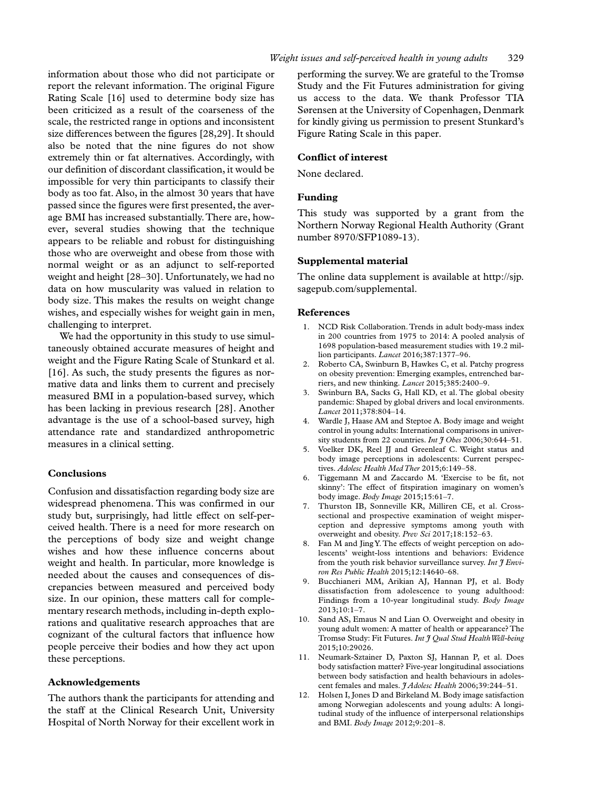information about those who did not participate or report the relevant information. The original Figure Rating Scale [16] used to determine body size has been criticized as a result of the coarseness of the scale, the restricted range in options and inconsistent size differences between the figures [28,29]. It should also be noted that the nine figures do not show extremely thin or fat alternatives. Accordingly, with our definition of discordant classification, it would be impossible for very thin participants to classify their body as too fat. Also, in the almost 30 years that have passed since the figures were first presented, the average BMI has increased substantially. There are, however, several studies showing that the technique appears to be reliable and robust for distinguishing those who are overweight and obese from those with normal weight or as an adjunct to self-reported weight and height [28–30]. Unfortunately, we had no data on how muscularity was valued in relation to body size. This makes the results on weight change wishes, and especially wishes for weight gain in men, challenging to interpret.

We had the opportunity in this study to use simultaneously obtained accurate measures of height and weight and the Figure Rating Scale of Stunkard et al. [16]. As such, the study presents the figures as normative data and links them to current and precisely measured BMI in a population-based survey, which has been lacking in previous research [28]. Another advantage is the use of a school-based survey, high attendance rate and standardized anthropometric measures in a clinical setting.

### **Conclusions**

Confusion and dissatisfaction regarding body size are widespread phenomena. This was confirmed in our study but, surprisingly, had little effect on self-perceived health. There is a need for more research on the perceptions of body size and weight change wishes and how these influence concerns about weight and health. In particular, more knowledge is needed about the causes and consequences of discrepancies between measured and perceived body size. In our opinion, these matters call for complementary research methods, including in-depth explorations and qualitative research approaches that are cognizant of the cultural factors that influence how people perceive their bodies and how they act upon these perceptions.

## **Acknowledgements**

The authors thank the participants for attending and the staff at the Clinical Research Unit, University Hospital of North Norway for their excellent work in

performing the survey. We are grateful to the Tromsø Study and the Fit Futures administration for giving us access to the data. We thank Professor TIA Sørensen at the University of Copenhagen, Denmark for kindly giving us permission to present Stunkard's Figure Rating Scale in this paper.

## **Conflict of interest**

None declared.

## **Funding**

This study was supported by a grant from the Northern Norway Regional Health Authority (Grant number 8970/SFP1089-13).

## **Supplemental material**

The online data supplement is available at [http://sjp.](http://sjp.sagepub.com/supplemental) [sagepub.com/supplemental.](http://sjp.sagepub.com/supplemental)

#### **References**

- 1. NCD Risk Collaboration. Trends in adult body-mass index in 200 countries from 1975 to 2014: A pooled analysis of 1698 population-based measurement studies with 19.2 million participants. *Lancet* 2016;387:1377–96.
- 2. Roberto CA, Swinburn B, Hawkes C, et al. Patchy progress on obesity prevention: Emerging examples, entrenched barriers, and new thinking. *Lancet* 2015;385:2400–9.
- 3. Swinburn BA, Sacks G, Hall KD, et al. The global obesity pandemic: Shaped by global drivers and local environments. *Lancet* 2011;378:804–14.
- 4. Wardle J, Haase AM and Steptoe A. Body image and weight control in young adults: International comparisons in university students from 22 countries. *Int J Obes* 2006;30:644–51.
- Voelker DK, Reel JJ and Greenleaf C. Weight status and body image perceptions in adolescents: Current perspectives. *Adolesc Health Med Ther* 2015;6:149–58.
- 6. Tiggemann M and Zaccardo M. 'Exercise to be fit, not skinny': The effect of fitspiration imaginary on women's body image. *Body Image* 2015;15:61–7.
- 7. Thurston IB, Sonneville KR, Milliren CE, et al. Crosssectional and prospective examination of weight misperception and depressive symptoms among youth with overweight and obesity. *Prev Sci* 2017;18:152–63.
- 8. Fan M and Jing Y. The effects of weight perception on adolescents' weight-loss intentions and behaviors: Evidence from the youth risk behavior surveillance survey. *Int J Environ Res Public Health* 2015;12:14640–68.
- 9. Bucchianeri MM, Arikian AJ, Hannan PJ, et al. Body dissatisfaction from adolescence to young adulthood: Findings from a 10-year longitudinal study. *Body Image* 2013;10:1–7.
- 10. Sand AS, Emaus N and Lian O. Overweight and obesity in young adult women: A matter of health or appearance? The Tromsø Study: Fit Futures. *Int J Qual Stud Health Well-being* 2015;10:29026.
- 11. Neumark-Sztainer D, Paxton SJ, Hannan P, et al. Does body satisfaction matter? Five-year longitudinal associations between body satisfaction and health behaviours in adolescent females and males. *J Adolesc Health* 2006;39:244–51.
- 12. Holsen I, Jones D and Birkeland M. Body image satisfaction among Norwegian adolescents and young adults: A longitudinal study of the influence of interpersonal relationships and BMI. *Body Image* 2012;9:201–8.